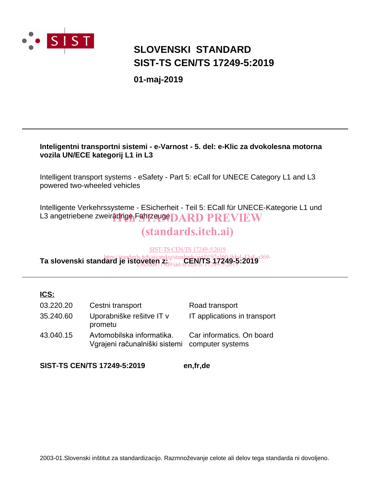

# **SIST-TS CEN/TS 17249-5:2019 SLOVENSKI STANDARD**

**01-maj-2019**

# **Inteligentni transportni sistemi - e-Varnost - 5. del: e-Klic za dvokolesna motorna vozila UN/ECE kategorij L1 in L3**

Intelligent transport systems - eSafety - Part 5: eCall for UNECE Category L1 and L3 powered two-wheeled vehicles

Intelligente Verkehrssysteme - ESicherheit - Teil 5: ECall für UNECE-Kategorie L1 und L3 angetriebene zweirädrige Fahrzeuge DARD PREVIEW

# (standards.iteh.ai)

SIST-TS CEN/TS 17249-5:2019

**Ta slovenski standard je istoveten iz**: *ai/catalog/standards/sist/0197e360-9de4-43a8-a369-*<br>**Ta slovenski standard je istoveten z:** 0/<sub>cista</sub>CEN/TS<sub>210</sub>7249<del>r.5</del>:2019 c563bd4719d9/sist-ts-cen-ts-17249-5-2019

## **ICS:**

| 03.220.20 | Cestni transport                                           | Road transport                                |
|-----------|------------------------------------------------------------|-----------------------------------------------|
| 35.240.60 | Uporabniške rešitve IT v<br>prometu                        | IT applications in transport                  |
| 43.040.15 | Avtomobilska informatika.<br>Vgrajeni računalniški sistemi | Car informatics. On board<br>computer systems |

**SIST-TS CEN/TS 17249-5:2019 en,fr,de**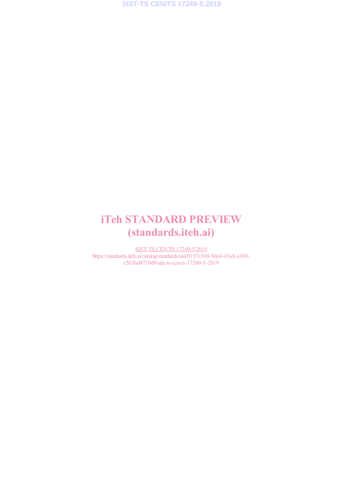# iTeh STANDARD PREVIEW (standards.iteh.ai)

SIST-TS CEN/TS 17249-5:2019 https://standards.iteh.ai/catalog/standards/sist/0197e360-9de4-43a8-a369 c563bd4719d9/sist-ts-cen-ts-17249-5-2019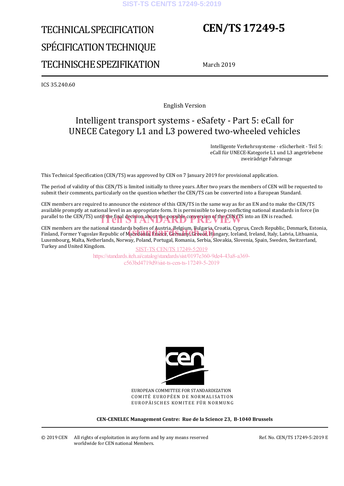#### **SIST-TS CEN/TS 17249-5:2019**

# TECHNICAL SPECIFICATION SPÉCIFICATION TECHNIQUE TECHNISCHE SPEZIFIKATION

# **CEN/TS 17249-5**

March 2019

ICS 35.240.60

English Version

# Intelligent transport systems - eSafety - Part 5: eCall for UNECE Category L1 and L3 powered two-wheeled vehicles

 Intelligente Verkehrssysteme - eSicherheit - Teil 5: eCall für UNECE-Kategorie L1 und L3 angetriebene zweirädrige Fahrzeuge

This Technical Specification (CEN/TS) was approved by CEN on 7 January 2019 for provisional application.

The period of validity of this CEN/TS is limited initially to three years. After two years the members of CEN will be requested to submit their comments, particularly on the question whether the CEN/TS can be converted into a European Standard.

CEN members are required to announce the existence of this CEN/TS in the same way as for an EN and to make the CEN/TS available promptly at national level in an appropriate form. It is permissible to keep conflicting national standards in force (in parallel to the CEN/TS) until the final decision about the possible conversion of the CEN/TS into an EN is reached.

CEN members are the national standards bodies of Austria, Belgium, Bulgaria, Croatia, Cyprus, Czech Republic, Denmark, Estonia, CEN members are the national standards bodies of Austria, Belgium, Bulgaria, Croatia, Cyprus, Czech Republic, Denmark, Esto<br>Finland, Former Yugoslav Republic of Ma**cedonia, France, Germany, Greece,** Hungary, Iceland, Irela Luxembourg, Malta, Netherlands, Norway, Poland, Portugal, Romania, Serbia, Slovakia, Slovenia, Spain, Sweden, Switzerland, Turkey and United Kingdom.

SIST-TS CEN/TS 17249-5:2019 https://standards.iteh.ai/catalog/standards/sist/0197e360-9de4-43a8-a369 c563bd4719d9/sist-ts-cen-ts-17249-5-2019



EUROPEAN COMMITTEE FOR STANDARDIZATION COMITÉ EUROPÉEN DE NORMALISATION EUROPÄISCHES KOMITEE FÜR NORMUNG

**CEN-CENELEC Management Centre: Rue de la Science 23, B-1040 Brussels** 

Ref. No. CEN/TS 17249-5:2019 E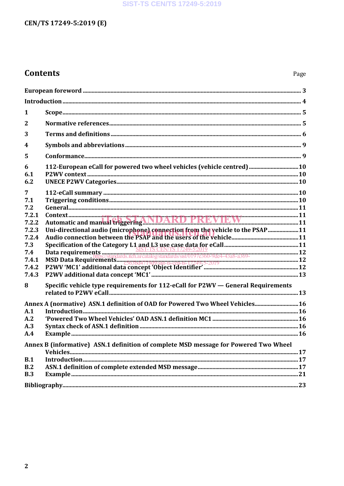### **SIST-TS CEN/TS 17249-5:2019**

# CEN/TS 17249-5:2019 (E)

# **Contents**

| 1                                                                                    |                                                                                  |  |  |  |
|--------------------------------------------------------------------------------------|----------------------------------------------------------------------------------|--|--|--|
| $\mathbf{2}$                                                                         |                                                                                  |  |  |  |
| 3                                                                                    |                                                                                  |  |  |  |
| $\overline{\mathbf{4}}$                                                              |                                                                                  |  |  |  |
| 5                                                                                    |                                                                                  |  |  |  |
| 6<br>6.1<br>6.2                                                                      | 112-European eCall for powered two wheel vehicles (vehicle centred)  10          |  |  |  |
| 7                                                                                    |                                                                                  |  |  |  |
| 7.1<br>7.2                                                                           |                                                                                  |  |  |  |
| 7.2.1                                                                                |                                                                                  |  |  |  |
| 7.2.2                                                                                |                                                                                  |  |  |  |
| 7.2.3<br>7.2.4                                                                       | Uni-directional audio (microphone) connection from the vehicle to the PSAP 11    |  |  |  |
| 7.3                                                                                  |                                                                                  |  |  |  |
| 7.4                                                                                  |                                                                                  |  |  |  |
| 7.4.1                                                                                |                                                                                  |  |  |  |
| 7.4.2                                                                                |                                                                                  |  |  |  |
| 7.4.3                                                                                |                                                                                  |  |  |  |
| 8                                                                                    | Specific vehicle type requirements for 112-eCall for P2WV - General Requirements |  |  |  |
| Annex A (normative) ASN.1 definition of OAD for Powered Two Wheel Vehicles 16        |                                                                                  |  |  |  |
| A.1                                                                                  |                                                                                  |  |  |  |
| A.2                                                                                  |                                                                                  |  |  |  |
| A.3                                                                                  |                                                                                  |  |  |  |
| A.4                                                                                  |                                                                                  |  |  |  |
| Annex B (informative) ASN.1 definition of complete MSD message for Powered Two Wheel |                                                                                  |  |  |  |
| B.1                                                                                  |                                                                                  |  |  |  |
| B.2                                                                                  |                                                                                  |  |  |  |
| B.3                                                                                  |                                                                                  |  |  |  |
|                                                                                      |                                                                                  |  |  |  |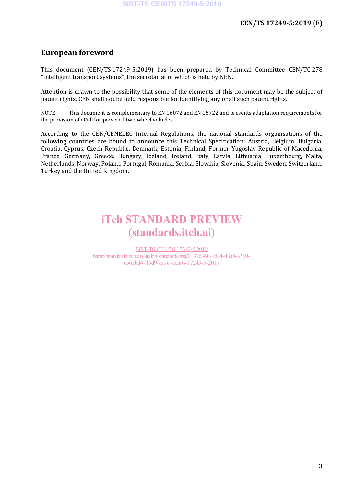# **European foreword**

This document (CEN/TS 17249-5:2019) has been prepared by Technical Committee CEN/TC 278 "Intelligent transport systems", the secretariat of which is held by NEN.

Attention is drawn to the possibility that some of the elements of this document may be the subject of patent rights. CEN shall not be held responsible for identifying any or all such patent rights.

NOTE This document is complementary to EN 16072 and EN 15722 and presents adaptation requirements for the provision of eCall for powered two wheel vehicles.

According to the CEN/CENELEC Internal Regulations, the national standards organisations of the following countries are bound to announce this Technical Specification: Austria, Belgium, Bulgaria, Croatia, Cyprus, Czech Republic, Denmark, Estonia, Finland, Former Yugoslav Republic of Macedonia, France, Germany, Greece, Hungary, Iceland, Ireland, Italy, Latvia, Lithuania, Luxembourg, Malta, Netherlands, Norway, Poland, Portugal, Romania, Serbia, Slovakia, Slovenia, Spain, Sweden, Switzerland, Turkey and the United Kingdom.

# iTeh STANDARD PREVIEW (standards.iteh.ai)

SIST-TS CEN/TS 17249-5:2019 https://standards.iteh.ai/catalog/standards/sist/0197e360-9de4-43a8-a369 c563bd4719d9/sist-ts-cen-ts-17249-5-2019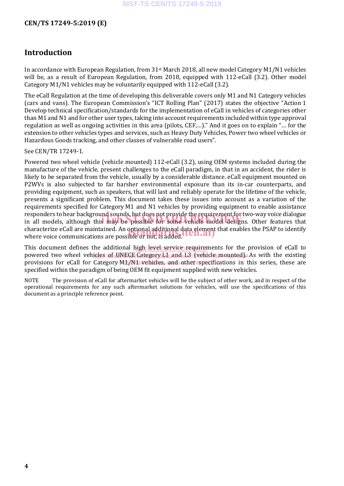# **Introduction**

In accordance with European Regulation, from 31st March 2018, all new model Category M1/N1 vehicles will be, as a result of European Regulation, from 2018, equipped with 112-eCall (3.2). Other model Category M1/N1 vehicles may be voluntarily equipped with 112-eCall (3.2).

The eCall Regulation at the time of developing this deliverable covers only M1 and N1 Category vehicles (cars and vans). The European Commission's "ICT Rolling Plan" (2017) states the objective "Action 1 Develop technical specification/standards for the implementation of eCall in vehicles of categories other than M1 and N1 and for other user types, taking into account requirements included within type approval regulation as well as ongoing activities in this area (pilots, CEF,…)." And it goes on to explain "… for the extension to other vehicles types and services, such as Heavy Duty Vehicles, Power two wheel vehicles or Hazardous Goods tracking, and other classes of vulnerable road users".

#### See CEN/TR 17249-1.

Powered two wheel vehicle (vehicle mounted) 112-eCall (3.2), using OEM systems included during the manufacture of the vehicle, present challenges to the eCall paradigm, in that in an accident, the rider is likely to be separated from the vehicle, usually by a considerable distance. eCall equipment mounted on P2WVs is also subjected to far harsher environmental exposure than its in-car counterparts, and providing equipment, such as speakers, that will last and reliably operate for the lifetime of the vehicle, presents a significant problem. This document takes these issues into account as a variation of the requirements specified for Category M1 and N1 vehicles by providing equipment to enable assistance responders to hear background sounds, but does not provide the requirement for two-way voice dialogue responders to hear background sounds, but does not provide the requirement for two-way voice dialogue<br>in all models, although this may be possible for some vehicle model designs. Other features that characterize eCall are maintained. An optional additional data element that enables the PSAP to identify characterize eCall are maintained. An optional additional data element<br>where voice communications are possible or not, is added.

This document defines the additional high level service requirements for the provision of eCall to powered two wheel veh<u>icles/ofnUNECE Category L.laand. L31 (vehicle mounted)</u>. As with the existing provisions for eCall for Category M15/N11 webicles, and other 4 specifications in this series, these are specified within the paradigm of being OEM fit equipment supplied with new vehicles.

NOTE The provision of eCall for aftermarket vehicles will be the subject of other work, and in respect of the operational requirements for any such aftermarket solutions for vehicles, will use the specifications of this document as a principle reference point.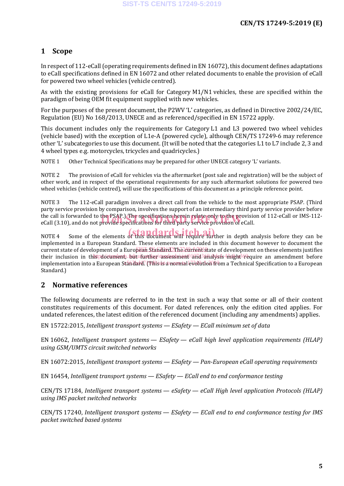# **1 Scope**

In respect of 112-eCall (operating requirements defined in EN 16072), this document defines adaptations to eCall specifications defined in EN 16072 and other related documents to enable the provision of eCall for powered two wheel vehicles (vehicle centred).

As with the existing provisions for eCall for Category M1/N1 vehicles, these are specified within the paradigm of being OEM fit equipment supplied with new vehicles.

For the purposes of the present document, the P2WV 'L' categories, as defined in Directive 2002/24/EC, Regulation (EU) No 168/2013, UNECE and as referenced/specified in EN 15722 apply.

This document includes only the requirements for Category L1 and L3 powered two wheel vehicles (vehicle based) with the exception of L1e-A (powered cycle), although CEN/TS 17249-6 may reference other 'L' subcategories to use this document. (It will be noted that the categories L1 to L7 include 2, 3 and 4 wheel types e.g. motorcycles, tricycles and quadricycles.)

NOTE 1 Other Technical Specifications may be prepared for other UNECE category 'L' variants.

NOTE 2 The provision of eCall for vehicles via the aftermarket (post sale and registration) will be the subject of other work, and in respect of the operational requirements for any such aftermarket solutions for powered two wheel vehicles (vehicle centred), will use the specifications of this document as a principle reference point.

NOTE 3 The 112-eCall paradigm involves a direct call from the vehicle to the most appropriate PSAP. (Third party service provision by comparison, involves the support of an intermediary third party service provider before the call is forwarded to the PSAP.) The specifications herein relate only to the provision of 112-eCall or IMS-112 the call is forwarded to the PSAP.) The specifications herein relate only to the provisio<br>eCall (3.10), and do not provide specifications for third party service provision of eCall.

NOTE 4 Some of the elements of this document will require further in depth analysis before they can be implemented in a European Standard. These elements are included in this document however to document the current state of development of a European Standard The current state of development on these elements justifies their inclusion in th**ispdocument**s.i<del>butaifurther/sassessment) land3andysis 4might (re</del>quire an amendment before implementation into a European St<del>andard. (This is a normal evolution fro</del>m a Technical Specification to a European Standard.)

# **2 Normative references**

The following documents are referred to in the text in such a way that some or all of their content constitutes requirements of this document. For dated references, only the edition cited applies. For undated references, the latest edition of the referenced document (including any amendments) applies.

EN 15722:2015, *Intelligent transport systems — ESafety — ECall minimum set of data*

EN 16062, *Intelligent transport systems — ESafety — eCall high level application requirements (HLAP) using GSM/UMTS circuit switched networks*

EN 16072:2015, *Intelligent transport systems — ESafety — Pan-European eCall operating requirements*

EN 16454, *Intelligent transport systems — ESafety — ECall end to end conformance testing*

CEN/TS 17184, *Intelligent transport systems — eSafety — eCall High level application Protocols (HLAP) using IMS packet switched networks*

CEN/TS 17240, *Intelligent transport systems — ESafety — ECall end to end conformance testing for IMS packet switched based systems*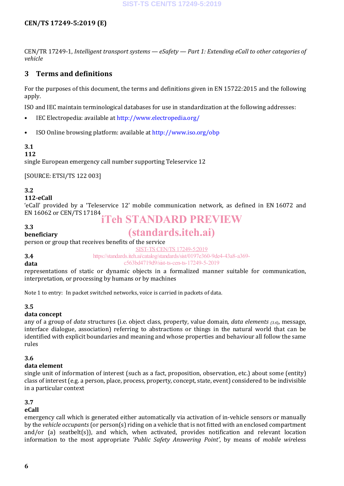CEN/TR 17249-1, *Intelligent transport systems — eSafety — Part 1: Extending eCall to other categories of vehicle*

### **3 Terms and definitions**

For the purposes of this document, the terms and definitions given in EN 15722:2015 and the following apply.

ISO and IEC maintain terminological databases for use in standardization at the following addresses:

- IEC Electropedia: available at http://www.electropedia.org/
- ISO Online browsing platform: available at http://www.iso.org/obp

#### **3.1**

#### **112**

single European emergency call number supporting Teleservice 12

[SOURCE: ETSI/TS 122 003]

#### **3.2**

#### **112-eCall**

**beneficiary**

'eCall' provided by a 'Teleservice 12' mobile communication network, as defined in EN 16072 and EN 16062 or CEN/TS 17184

#### **3.3**

# iTeh STANDARD PREVIEW

# (standards.iteh.ai)

person or group that receives benefits of the service SIST-TS CEN/TS 17249-5:2019

#### **3.4**

https://standards.iteh.ai/catalog/standards/sist/0197e360-9de4-43a8-a369 c563bd4719d9/sist-ts-cen-ts-17249-5-2019

#### **data**

representations of static or dynamic objects in a formalized manner suitable for communication, interpretation, or processing by humans or by machines

Note 1 to entry: In packet switched networks, voice is carried in packets of data.

#### **3.5**

#### **data concept**

any of a group of *data* structures (i.e. object class, property, value domain, *data elements (3.6*), message, interface dialogue, association) referring to abstractions or things in the natural world that can be identified with explicit boundaries and meaning and whose properties and behaviour all follow the same rules

#### **3.6**

#### **data element**

single unit of information of interest (such as a fact, proposition, observation, etc.) about some (entity) class of interest (e.g. a person, place, process, property, concept, state, event) considered to be indivisible in a particular context

# **3.7**

#### **eCall**

emergency call which is generated either automatically via activation of in-vehicle sensors or manually by the *vehicle occupants* (or person(s) riding on a vehicle that is not fitted with an enclosed compartment and/or (a) seatbelt(s)), and which, when activated, provides notification and relevant location information to the most appropriate *'Public Safety Answering Point'*, by means of *mobile wir*eless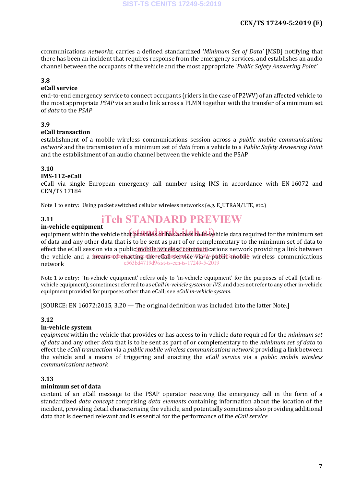communications *networks,* carries a defined standardized '*Minimum Set of Data'* [MSD] notifying that there has been an incident that requires response from the emergency services, and establishes an audio channel between the occupants of the vehicle and the most appropriate '*Public Safety Answering Point'*

#### **3.8**

### **eCall service**

end-to-end emergency service to connect occupants (riders in the case of P2WV) of an affected vehicle to the most appropriate *PSAP* via an audio link across a PLMN together with the transfer of a minimum set of *data* to the *PSAP*

#### **3.9**

#### **eCall transaction**

establishment of a mobile wireless communications session across a *public mobile communications network* and the transmission of a minimum set of *data* from a vehicle to a *Public Safety Answering Point* and the establishment of an audio channel between the vehicle and the PSAP

#### **3.10**

#### **IMS-112-eCall**

eCall via single European emergency call number using IMS in accordance with EN 16072 and CEN/TS 17184

Note 1 to entry: Using packet switched cellular wireless networks (e.g. E\_UTRAN/LTE, etc.)

#### **3.11** iTeh STANDARD PREVIEW

#### **in-vehicle equipment**

**In-venicle equipment**<br>equipment within the vehicle that provides or has access to in-vehicle data required for the minimum set of data and any other data that is to be sent as part of or complementary to the minimum set of data to effect the eCall session via a public mobile wireless communications network providing a link between the vehicle and a means a facting at hege Call revived via a public mobile wireless communications network c563bd4719d9/sist-ts-cen-ts-17249-5-2019

Note 1 to entry: 'In-vehicle equipment' refers only to 'in-vehicle equipment' for the purposes of eCall (eCall invehicle equipment), sometimes referred to as *eCall in-vehicle system* or *IVS*, and does not refer to any other in-vehicle equipment provided for purposes other than eCall; see *eCall in-vehicle system*.

[SOURCE: EN 16072:2015, 3.20 — The original definition was included into the latter Note.]

#### **3.12**

#### **in-vehicle system**

*equipment* within the vehicle that provides or has access to in-vehicle *data* required for the *minimum set of data* and any other *data* that is to be sent as part of or complementary to the *minimum set of data* to effect the *eCall transaction* via a *public mobile wireless communications network* providing a link between the vehicle and a means of triggering and enacting the *eCall service* via a *public mobile wireless communications network*

#### **3.13**

#### **minimum set of data**

content of an eCall message to the PSAP operator receiving the emergency call in the form of a standardized *data concept* comprising *data elements* containing information about the location of the incident, providing detail characterising the vehicle, and potentially sometimes also providing additional data that is deemed relevant and is essential for the performance of the *eCall service*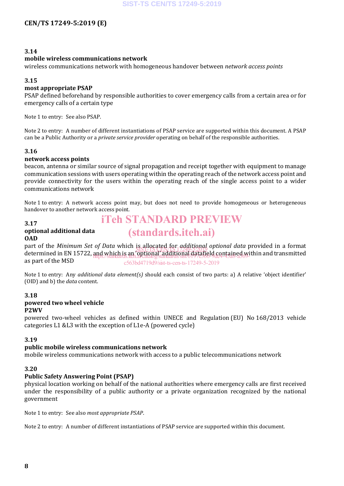#### **3.14**

#### **mobile wireless communications network**

wireless communications network with homogeneous handover between *network access points*

#### **3.15**

#### **most appropriate PSAP**

PSAP defined beforehand by responsible authorities to cover emergency calls from a certain area or for emergency calls of a certain type

Note 1 to entry: See also PSAP.

Note 2 to entry: A number of different instantiations of PSAP service are supported within this document. A PSAP can be a Public Authority or a *private service provider* operating on behalf of the responsible authorities.

#### **3.16**

#### **network access points**

beacon, antenna or similar source of signal propagation and receipt together with equipment to manage communication sessions with users operating within the operating reach of the network access point and provide connectivity for the users within the operating reach of the single access point to a wider communications network

Note 1 to entry: A network access point may, but does not need to provide homogeneous or heterogeneous handover to another network access point.

iTeh STANDARD PREVIEW

(standards.iteh.ai)

#### **3.17**

#### **optional additional data OAD**

part of the *Minimum Set of Data* which is allocated for *additional optional data* provided in a format determined in EN 15722, and which is an 'optional' additional datafield contained within and transmitted as part of the MSD SIST-TS CEN/TS 17249-5:2019 https://standards.iteh.ai/catalog/standards/sist/0197e360-9de4-43a8-a369 c563bd4719d9/sist-ts-cen-ts-17249-5-2019

Note 1 to entry: Any *additional data element(s)* should each consist of two parts: a) A relative 'object identifier' (OID) and b) the *data* content.

#### **3.18 powered two wheel vehicle P2WV**

powered two-wheel vehicles as defined within UNECE and Regulation (EU) No 168/2013 vehicle categories L1 &L3 with the exception of L1e-A (powered cycle)

#### **3.19**

#### **public mobile wireless communications network**

mobile wireless communications network with access to a public telecommunications network

#### **3.20**

#### **Public Safety Answering Point (PSAP)**

physical location working on behalf of the national authorities where emergency calls are first received under the responsibility of a public authority or a private organization recognized by the national government

Note 1 to entry: See also *most appropriate PSAP*.

Note 2 to entry: A number of different instantiations of PSAP service are supported within this document.